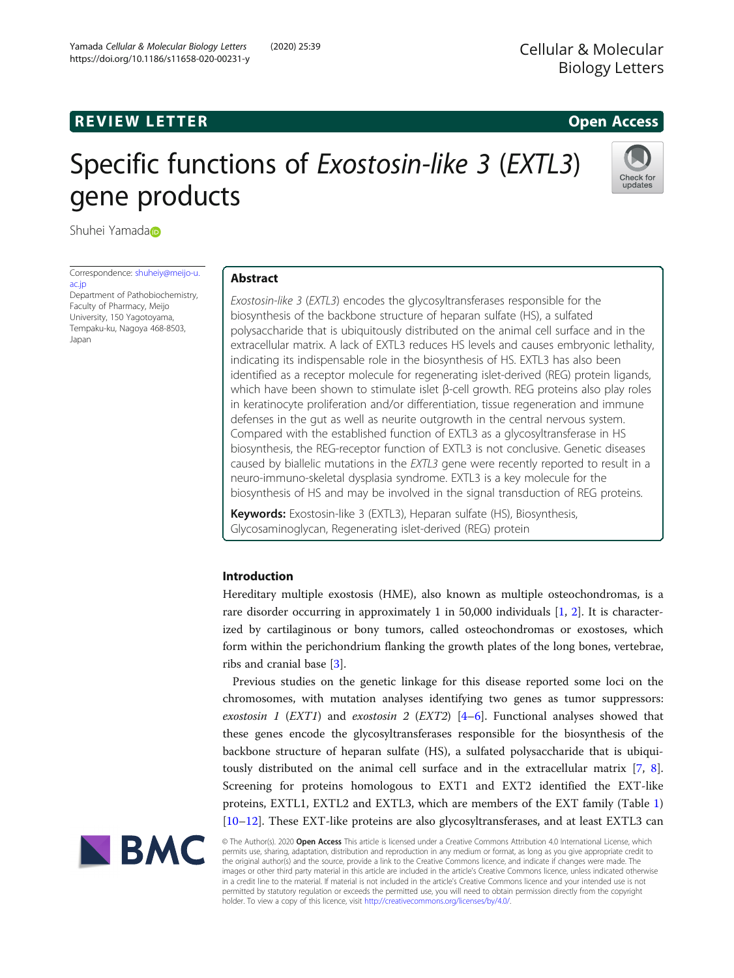# **REVIEW LETTER EXISTENTIAL STATE AND REVIEW LETTER CONSUMING A CONSUMING A REVIEW OPEN ACCESS**

# Specific functions of Exostosin-like 3 (EXTL3) gene products



Shuhei Yamada<sub>D</sub>

Correspondence: [shuheiy@meijo-u.](mailto:shuheiy@meijo-u.ac.jp) [ac.jp](mailto:shuheiy@meijo-u.ac.jp)

Department of Pathobiochemistry, Faculty of Pharmacy, Meijo University, 150 Yagotoyama, Tempaku-ku, Nagoya 468-8503, Japan

# Abstract

Exostosin-like 3 (EXTL3) encodes the glycosyltransferases responsible for the biosynthesis of the backbone structure of heparan sulfate (HS), a sulfated polysaccharide that is ubiquitously distributed on the animal cell surface and in the extracellular matrix. A lack of EXTL3 reduces HS levels and causes embryonic lethality, indicating its indispensable role in the biosynthesis of HS. EXTL3 has also been identified as a receptor molecule for regenerating islet-derived (REG) protein ligands, which have been shown to stimulate islet β-cell growth. REG proteins also play roles in keratinocyte proliferation and/or differentiation, tissue regeneration and immune defenses in the gut as well as neurite outgrowth in the central nervous system. Compared with the established function of EXTL3 as a glycosyltransferase in HS biosynthesis, the REG-receptor function of EXTL3 is not conclusive. Genetic diseases caused by biallelic mutations in the EXTL3 gene were recently reported to result in a neuro-immuno-skeletal dysplasia syndrome. EXTL3 is a key molecule for the biosynthesis of HS and may be involved in the signal transduction of REG proteins.

Keywords: Exostosin-like 3 (EXTL3), Heparan sulfate (HS), Biosynthesis, Glycosaminoglycan, Regenerating islet-derived (REG) protein

# Introduction

Hereditary multiple exostosis (HME), also known as multiple osteochondromas, is a rare disorder occurring in approximately 1 in 50,000 individuals [\[1](#page-9-0), [2\]](#page-9-0). It is characterized by cartilaginous or bony tumors, called osteochondromas or exostoses, which form within the perichondrium flanking the growth plates of the long bones, vertebrae, ribs and cranial base [[3\]](#page-10-0).

Previous studies on the genetic linkage for this disease reported some loci on the chromosomes, with mutation analyses identifying two genes as tumor suppressors: exostosin 1 (EXT1) and exostosin 2 (EXT2)  $[4-6]$  $[4-6]$  $[4-6]$  $[4-6]$ . Functional analyses showed that these genes encode the glycosyltransferases responsible for the biosynthesis of the backbone structure of heparan sulfate (HS), a sulfated polysaccharide that is ubiquitously distributed on the animal cell surface and in the extracellular matrix [\[7](#page-10-0), [8](#page-10-0)]. Screening for proteins homologous to EXT1 and EXT2 identified the EXT-like proteins, EXTL1, EXTL2 and EXTL3, which are members of the EXT family (Table [1](#page-1-0)) [[10](#page-10-0)–[12](#page-10-0)]. These EXT-like proteins are also glycosyltransferases, and at least EXTL3 can



© The Author(s). 2020 Open Access This article is licensed under a Creative Commons Attribution 4.0 International License, which permits use, sharing, adaptation, distribution and reproduction in any medium or format, as long as you give appropriate credit to the original author(s) and the source, provide a link to the Creative Commons licence, and indicate if changes were made. The images or other third party material in this article are included in the article's Creative Commons licence, unless indicated otherwise in a credit line to the material. If material is not included in the article's Creative Commons licence and your intended use is not permitted by statutory regulation or exceeds the permitted use, you will need to obtain permission directly from the copyright holder. To view a copy of this licence, visit [http://creativecommons.org/licenses/by/4.0/.](http://creativecommons.org/licenses/by/4.0/)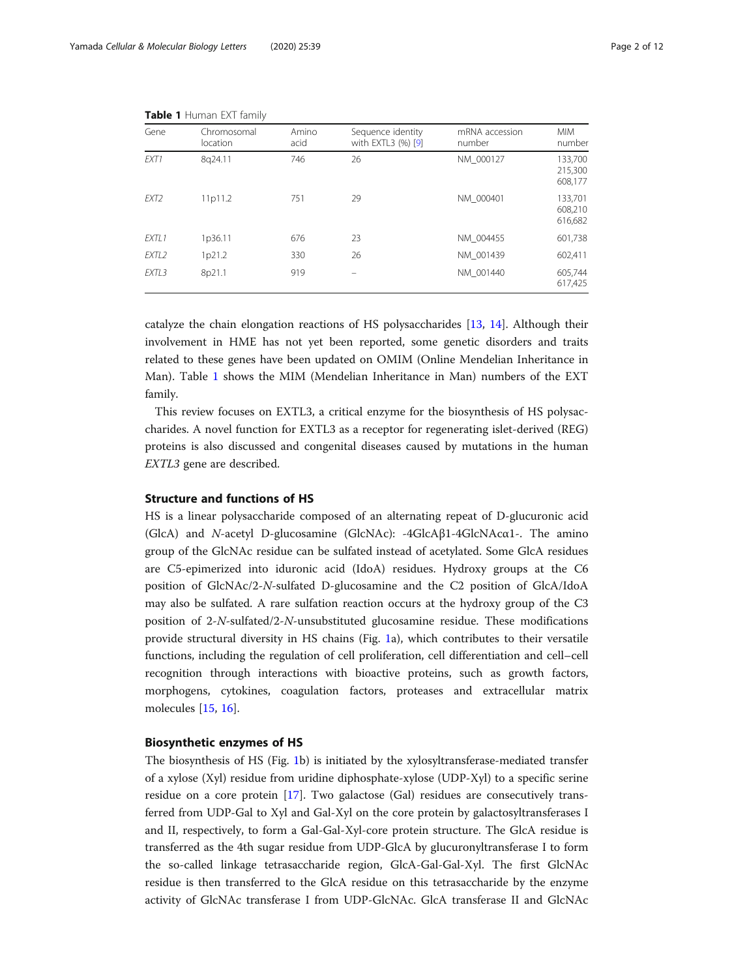| Gene              | Chromosomal<br>location | Amino<br>acid | Sequence identity<br>with EXTL3 (%) [9] | mRNA accession<br>number | <b>MIM</b><br>number          |
|-------------------|-------------------------|---------------|-----------------------------------------|--------------------------|-------------------------------|
| FXT1              | 8q24.11                 | 746           | 26                                      | NM 000127                | 133,700<br>215,300<br>608,177 |
| EXT2              | 11p11.2                 | 751           | 29                                      | NM 000401                | 133,701<br>608,210<br>616,682 |
| EXTL1             | 1p36.11                 | 676           | 23                                      | NM 004455                | 601,738                       |
| EXTL <sub>2</sub> | 1p21.2                  | 330           | 26                                      | NM 001439                | 602,411                       |
| EXTL3             | 8p21.1                  | 919           |                                         | NM 001440                | 605,744<br>617,425            |

<span id="page-1-0"></span>Table 1 Human EXT family

catalyze the chain elongation reactions of HS polysaccharides [[13,](#page-10-0) [14](#page-10-0)]. Although their involvement in HME has not yet been reported, some genetic disorders and traits related to these genes have been updated on OMIM (Online Mendelian Inheritance in Man). Table 1 shows the MIM (Mendelian Inheritance in Man) numbers of the EXT family.

This review focuses on EXTL3, a critical enzyme for the biosynthesis of HS polysaccharides. A novel function for EXTL3 as a receptor for regenerating islet-derived (REG) proteins is also discussed and congenital diseases caused by mutations in the human EXTL3 gene are described.

# Structure and functions of HS

HS is a linear polysaccharide composed of an alternating repeat of D-glucuronic acid (GlcA) and N-acetyl D-glucosamine (GlcNAc): -4GlcAβ1-4GlcNAcα1-. The amino group of the GlcNAc residue can be sulfated instead of acetylated. Some GlcA residues are C5-epimerized into iduronic acid (IdoA) residues. Hydroxy groups at the C6 position of GlcNAc/2-N-sulfated D-glucosamine and the C2 position of GlcA/IdoA may also be sulfated. A rare sulfation reaction occurs at the hydroxy group of the C3 position of 2-N-sulfated/2-N-unsubstituted glucosamine residue. These modifications provide structural diversity in HS chains (Fig. [1a](#page-2-0)), which contributes to their versatile functions, including the regulation of cell proliferation, cell differentiation and cell–cell recognition through interactions with bioactive proteins, such as growth factors, morphogens, cytokines, coagulation factors, proteases and extracellular matrix molecules [\[15](#page-10-0), [16](#page-10-0)].

# Biosynthetic enzymes of HS

The biosynthesis of HS (Fig. [1](#page-2-0)b) is initiated by the xylosyltransferase-mediated transfer of a xylose (Xyl) residue from uridine diphosphate-xylose (UDP-Xyl) to a specific serine residue on a core protein [\[17\]](#page-10-0). Two galactose (Gal) residues are consecutively transferred from UDP-Gal to Xyl and Gal-Xyl on the core protein by galactosyltransferases I and II, respectively, to form a Gal-Gal-Xyl-core protein structure. The GlcA residue is transferred as the 4th sugar residue from UDP-GlcA by glucuronyltransferase I to form the so-called linkage tetrasaccharide region, GlcA-Gal-Gal-Xyl. The first GlcNAc residue is then transferred to the GlcA residue on this tetrasaccharide by the enzyme activity of GlcNAc transferase I from UDP-GlcNAc. GlcA transferase II and GlcNAc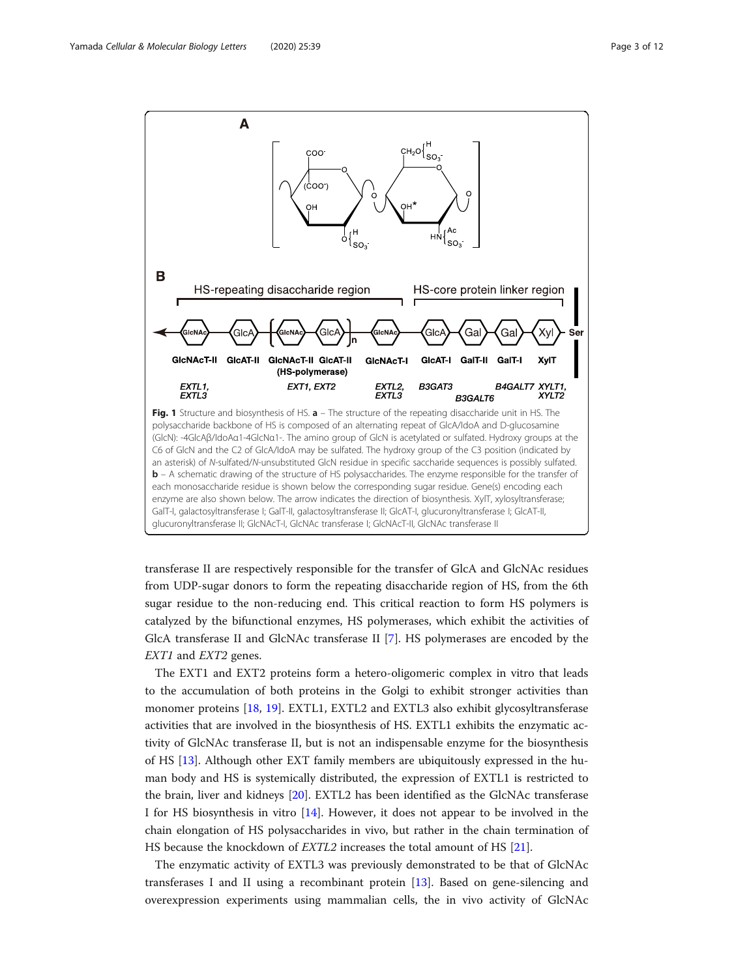<span id="page-2-0"></span>

transferase II are respectively responsible for the transfer of GlcA and GlcNAc residues from UDP-sugar donors to form the repeating disaccharide region of HS, from the 6th sugar residue to the non-reducing end. This critical reaction to form HS polymers is catalyzed by the bifunctional enzymes, HS polymerases, which exhibit the activities of GlcA transferase II and GlcNAc transferase II [\[7](#page-10-0)]. HS polymerases are encoded by the EXT1 and EXT2 genes.

The EXT1 and EXT2 proteins form a hetero-oligomeric complex in vitro that leads to the accumulation of both proteins in the Golgi to exhibit stronger activities than monomer proteins [[18](#page-10-0), [19\]](#page-10-0). EXTL1, EXTL2 and EXTL3 also exhibit glycosyltransferase activities that are involved in the biosynthesis of HS. EXTL1 exhibits the enzymatic activity of GlcNAc transferase II, but is not an indispensable enzyme for the biosynthesis of HS [[13\]](#page-10-0). Although other EXT family members are ubiquitously expressed in the human body and HS is systemically distributed, the expression of EXTL1 is restricted to the brain, liver and kidneys [\[20](#page-10-0)]. EXTL2 has been identified as the GlcNAc transferase I for HS biosynthesis in vitro [[14](#page-10-0)]. However, it does not appear to be involved in the chain elongation of HS polysaccharides in vivo, but rather in the chain termination of HS because the knockdown of EXTL2 increases the total amount of HS [\[21](#page-10-0)].

The enzymatic activity of EXTL3 was previously demonstrated to be that of GlcNAc transferases I and II using a recombinant protein [\[13\]](#page-10-0). Based on gene-silencing and overexpression experiments using mammalian cells, the in vivo activity of GlcNAc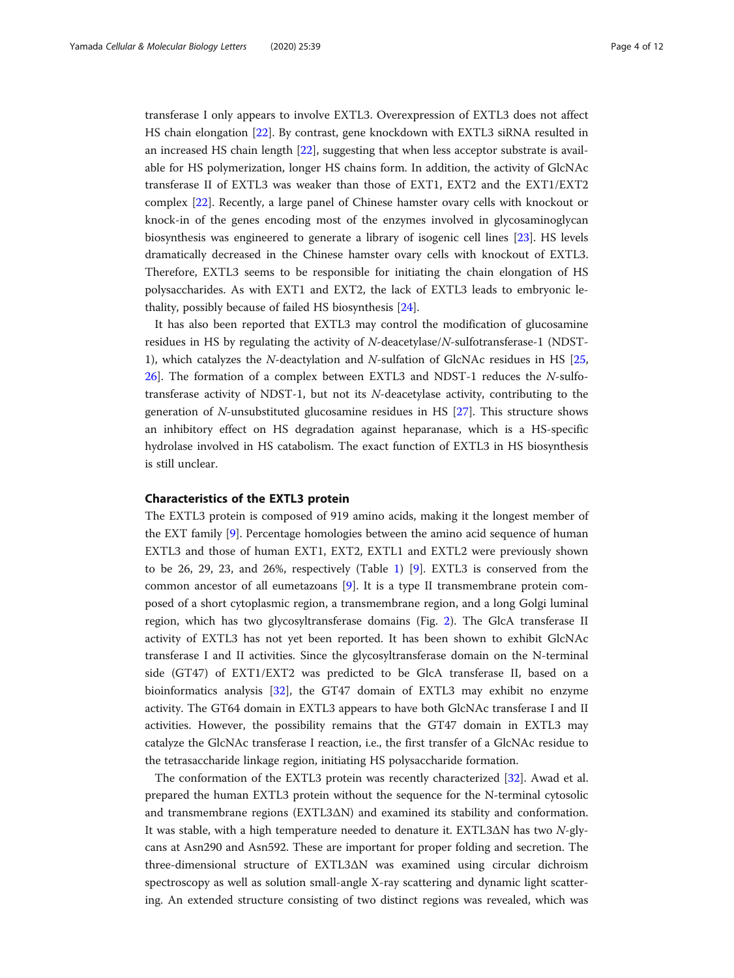transferase I only appears to involve EXTL3. Overexpression of EXTL3 does not affect HS chain elongation [[22\]](#page-10-0). By contrast, gene knockdown with EXTL3 siRNA resulted in an increased HS chain length [[22\]](#page-10-0), suggesting that when less acceptor substrate is available for HS polymerization, longer HS chains form. In addition, the activity of GlcNAc transferase II of EXTL3 was weaker than those of EXT1, EXT2 and the EXT1/EXT2 complex [\[22\]](#page-10-0). Recently, a large panel of Chinese hamster ovary cells with knockout or knock-in of the genes encoding most of the enzymes involved in glycosaminoglycan biosynthesis was engineered to generate a library of isogenic cell lines [[23\]](#page-10-0). HS levels dramatically decreased in the Chinese hamster ovary cells with knockout of EXTL3. Therefore, EXTL3 seems to be responsible for initiating the chain elongation of HS polysaccharides. As with EXT1 and EXT2, the lack of EXTL3 leads to embryonic lethality, possibly because of failed HS biosynthesis [\[24](#page-10-0)].

It has also been reported that EXTL3 may control the modification of glucosamine residues in HS by regulating the activity of N-deacetylase/N-sulfotransferase-1 (NDST-1), which catalyzes the N-deactylation and N-sulfation of GlcNAc residues in HS [[25](#page-10-0), [26](#page-10-0)]. The formation of a complex between EXTL3 and NDST-1 reduces the N-sulfotransferase activity of NDST-1, but not its N-deacetylase activity, contributing to the generation of N-unsubstituted glucosamine residues in HS [[27](#page-10-0)]. This structure shows an inhibitory effect on HS degradation against heparanase, which is a HS-specific hydrolase involved in HS catabolism. The exact function of EXTL3 in HS biosynthesis is still unclear.

# Characteristics of the EXTL3 protein

The EXTL3 protein is composed of 919 amino acids, making it the longest member of the EXT family [\[9](#page-10-0)]. Percentage homologies between the amino acid sequence of human EXTL3 and those of human EXT1, EXT2, EXTL1 and EXTL2 were previously shown to be 26, 29, 23, and 26%, respectively (Table [1\)](#page-1-0) [\[9](#page-10-0)]. EXTL3 is conserved from the common ancestor of all eumetazoans [[9\]](#page-10-0). It is a type II transmembrane protein composed of a short cytoplasmic region, a transmembrane region, and a long Golgi luminal region, which has two glycosyltransferase domains (Fig. [2](#page-4-0)). The GlcA transferase II activity of EXTL3 has not yet been reported. It has been shown to exhibit GlcNAc transferase I and II activities. Since the glycosyltransferase domain on the N-terminal side (GT47) of EXT1/EXT2 was predicted to be GlcA transferase II, based on a bioinformatics analysis [[32\]](#page-10-0), the GT47 domain of EXTL3 may exhibit no enzyme activity. The GT64 domain in EXTL3 appears to have both GlcNAc transferase I and II activities. However, the possibility remains that the GT47 domain in EXTL3 may catalyze the GlcNAc transferase I reaction, i.e., the first transfer of a GlcNAc residue to the tetrasaccharide linkage region, initiating HS polysaccharide formation.

The conformation of the EXTL3 protein was recently characterized [\[32](#page-10-0)]. Awad et al. prepared the human EXTL3 protein without the sequence for the N-terminal cytosolic and transmembrane regions (EXTL3ΔN) and examined its stability and conformation. It was stable, with a high temperature needed to denature it. EXTL3ΔN has two N-glycans at Asn290 and Asn592. These are important for proper folding and secretion. The three-dimensional structure of EXTL3ΔN was examined using circular dichroism spectroscopy as well as solution small-angle X-ray scattering and dynamic light scattering. An extended structure consisting of two distinct regions was revealed, which was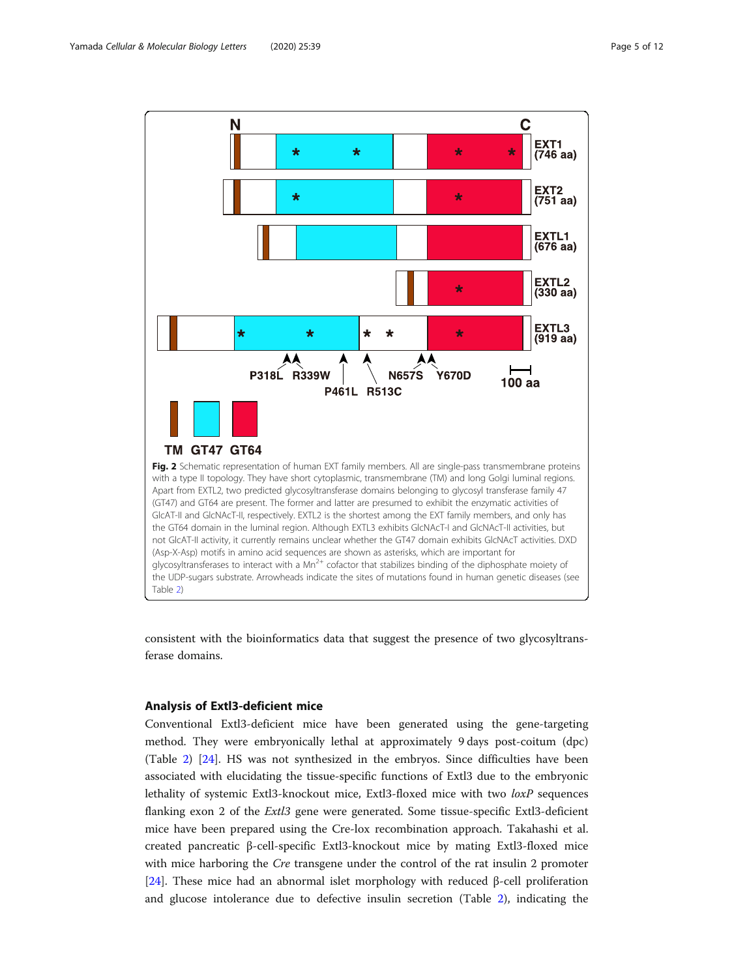<span id="page-4-0"></span>

consistent with the bioinformatics data that suggest the presence of two glycosyltransferase domains.

# Analysis of Extl3-deficient mice

Conventional Extl3-deficient mice have been generated using the gene-targeting method. They were embryonically lethal at approximately 9 days post-coitum (dpc) (Table [2](#page-5-0)) [\[24](#page-10-0)]. HS was not synthesized in the embryos. Since difficulties have been associated with elucidating the tissue-specific functions of Extl3 due to the embryonic lethality of systemic Extl3-knockout mice, Extl3-floxed mice with two loxP sequences flanking exon 2 of the Extl3 gene were generated. Some tissue-specific Extl3-deficient mice have been prepared using the Cre-lox recombination approach. Takahashi et al. created pancreatic β-cell-specific Extl3-knockout mice by mating Extl3-floxed mice with mice harboring the *Cre* transgene under the control of the rat insulin 2 promoter [[24\]](#page-10-0). These mice had an abnormal islet morphology with reduced β-cell proliferation and glucose intolerance due to defective insulin secretion (Table [2\)](#page-5-0), indicating the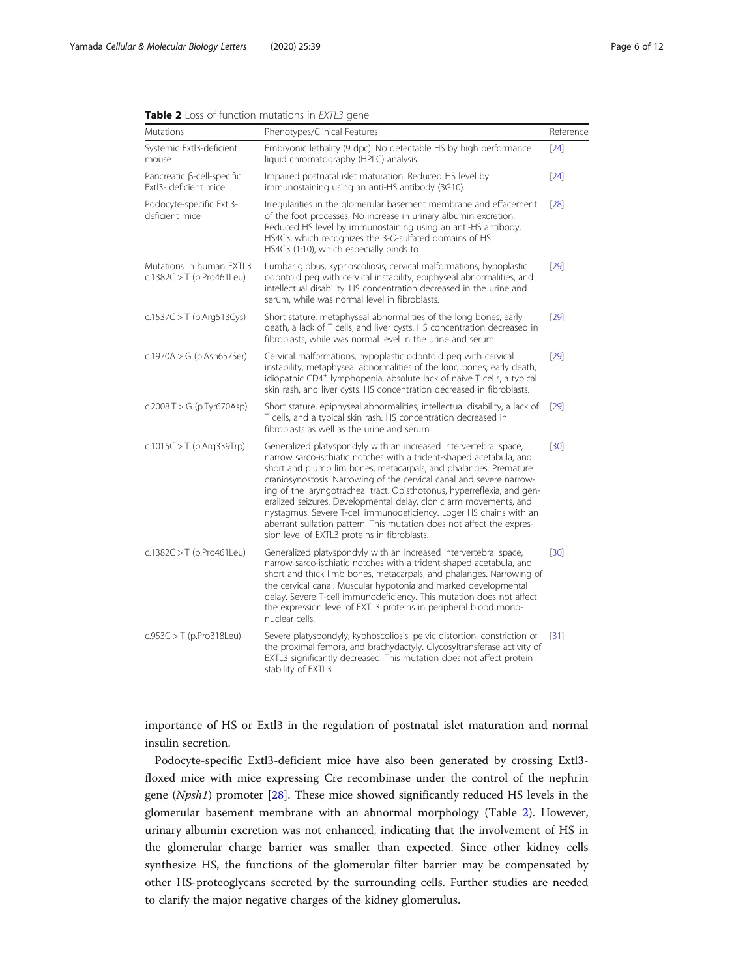<span id="page-5-0"></span>

|  |  |  |  |  | <b>Table 2</b> Loss of function mutations in <i>EXTL3</i> gene |  |  |  |
|--|--|--|--|--|----------------------------------------------------------------|--|--|--|
|--|--|--|--|--|----------------------------------------------------------------|--|--|--|

| Mutations                                               | Phenotypes/Clinical Features                                                                                                                                                                                                                                                                                                                                                                                                                                                                                                                                                                                                        | Reference |
|---------------------------------------------------------|-------------------------------------------------------------------------------------------------------------------------------------------------------------------------------------------------------------------------------------------------------------------------------------------------------------------------------------------------------------------------------------------------------------------------------------------------------------------------------------------------------------------------------------------------------------------------------------------------------------------------------------|-----------|
| Systemic Extl3-deficient<br>mouse                       | Embryonic lethality (9 dpc). No detectable HS by high performance<br>liquid chromatography (HPLC) analysis.                                                                                                                                                                                                                                                                                                                                                                                                                                                                                                                         | [24]      |
| Pancreatic β-cell-specific<br>Extl3- deficient mice     | Impaired postnatal islet maturation. Reduced HS level by<br>immunostaining using an anti-HS antibody (3G10).                                                                                                                                                                                                                                                                                                                                                                                                                                                                                                                        | [24]      |
| Podocyte-specific Extl3-<br>deficient mice              | Irregularities in the glomerular basement membrane and effacement<br>of the foot processes. No increase in urinary albumin excretion.<br>Reduced HS level by immunostaining using an anti-HS antibody,<br>HS4C3, which recognizes the 3-O-sulfated domains of HS.<br>HS4C3 (1:10), which especially binds to                                                                                                                                                                                                                                                                                                                        | $[28]$    |
| Mutations in human EXTL3<br>c.1382C $>$ T (p.Pro461Leu) | Lumbar gibbus, kyphoscoliosis, cervical malformations, hypoplastic<br>odontoid peg with cervical instability, epiphyseal abnormalities, and<br>intellectual disability. HS concentration decreased in the urine and<br>serum, while was normal level in fibroblasts.                                                                                                                                                                                                                                                                                                                                                                | $[29]$    |
| c.1537C $>$ T (p.Arg513Cys)                             | Short stature, metaphyseal abnormalities of the long bones, early<br>death, a lack of T cells, and liver cysts. HS concentration decreased in<br>fibroblasts, while was normal level in the urine and serum.                                                                                                                                                                                                                                                                                                                                                                                                                        | [29]      |
| c.1970A > G (p.Asn657Ser)                               | Cervical malformations, hypoplastic odontoid peg with cervical<br>instability, metaphyseal abnormalities of the long bones, early death,<br>idiopathic CD4 <sup>+</sup> lymphopenia, absolute lack of naive T cells, a typical<br>skin rash, and liver cysts. HS concentration decreased in fibroblasts.                                                                                                                                                                                                                                                                                                                            | $[29]$    |
| c.2008 T > G (p.Tyr670Asp)                              | Short stature, epiphyseal abnormalities, intellectual disability, a lack of<br>T cells, and a typical skin rash. HS concentration decreased in<br>fibroblasts as well as the urine and serum.                                                                                                                                                                                                                                                                                                                                                                                                                                       | $[29]$    |
| c.1015C $>$ T (p.Arg339Trp)                             | Generalized platyspondyly with an increased intervertebral space,<br>narrow sarco-ischiatic notches with a trident-shaped acetabula, and<br>short and plump lim bones, metacarpals, and phalanges. Premature<br>craniosynostosis. Narrowing of the cervical canal and severe narrow-<br>ing of the laryngotracheal tract. Opisthotonus, hyperreflexia, and gen-<br>eralized seizures. Developmental delay, clonic arm movements, and<br>nystagmus. Severe T-cell immunodeficiency. Loger HS chains with an<br>aberrant sulfation pattern. This mutation does not affect the expres-<br>sion level of EXTL3 proteins in fibroblasts. | [30]      |
| c.1382C > T (p.Pro461Leu)                               | Generalized platyspondyly with an increased intervertebral space,<br>narrow sarco-ischiatic notches with a trident-shaped acetabula, and<br>short and thick limb bones, metacarpals, and phalanges. Narrowing of<br>the cervical canal. Muscular hypotonia and marked developmental<br>delay. Severe T-cell immunodeficiency. This mutation does not affect<br>the expression level of EXTL3 proteins in peripheral blood mono-<br>nuclear cells.                                                                                                                                                                                   | $[30]$    |
| $c.953C > T$ (p.Pro318Leu)                              | Severe platyspondyly, kyphoscoliosis, pelvic distortion, constriction of<br>the proximal femora, and brachydactyly. Glycosyltransferase activity of<br>EXTL3 significantly decreased. This mutation does not affect protein<br>stability of EXTL3.                                                                                                                                                                                                                                                                                                                                                                                  | $[31]$    |

importance of HS or Extl3 in the regulation of postnatal islet maturation and normal insulin secretion.

Podocyte-specific Extl3-deficient mice have also been generated by crossing Extl3 floxed mice with mice expressing Cre recombinase under the control of the nephrin gene (Npsh1) promoter [[28](#page-10-0)]. These mice showed significantly reduced HS levels in the glomerular basement membrane with an abnormal morphology (Table 2). However, urinary albumin excretion was not enhanced, indicating that the involvement of HS in the glomerular charge barrier was smaller than expected. Since other kidney cells synthesize HS, the functions of the glomerular filter barrier may be compensated by other HS-proteoglycans secreted by the surrounding cells. Further studies are needed to clarify the major negative charges of the kidney glomerulus.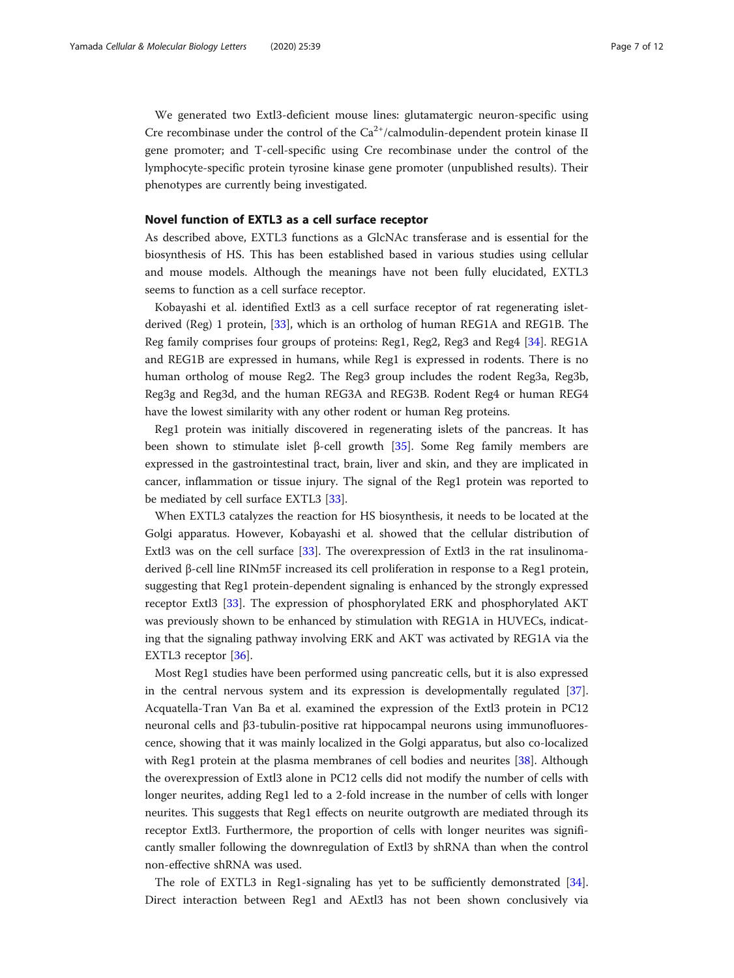We generated two Extl3-deficient mouse lines: glutamatergic neuron-specific using Cre recombinase under the control of the  $Ca^{2+}/c$ almodulin-dependent protein kinase II gene promoter; and T-cell-specific using Cre recombinase under the control of the lymphocyte-specific protein tyrosine kinase gene promoter (unpublished results). Their phenotypes are currently being investigated.

# Novel function of EXTL3 as a cell surface receptor

As described above, EXTL3 functions as a GlcNAc transferase and is essential for the biosynthesis of HS. This has been established based in various studies using cellular and mouse models. Although the meanings have not been fully elucidated, EXTL3 seems to function as a cell surface receptor.

Kobayashi et al. identified Extl3 as a cell surface receptor of rat regenerating isletderived (Reg) 1 protein, [[33](#page-10-0)], which is an ortholog of human REG1A and REG1B. The Reg family comprises four groups of proteins: Reg1, Reg2, Reg3 and Reg4 [[34](#page-10-0)]. REG1A and REG1B are expressed in humans, while Reg1 is expressed in rodents. There is no human ortholog of mouse Reg2. The Reg3 group includes the rodent Reg3a, Reg3b, Reg3g and Reg3d, and the human REG3A and REG3B. Rodent Reg4 or human REG4 have the lowest similarity with any other rodent or human Reg proteins.

Reg1 protein was initially discovered in regenerating islets of the pancreas. It has been shown to stimulate islet β-cell growth [[35\]](#page-10-0). Some Reg family members are expressed in the gastrointestinal tract, brain, liver and skin, and they are implicated in cancer, inflammation or tissue injury. The signal of the Reg1 protein was reported to be mediated by cell surface EXTL3 [[33\]](#page-10-0).

When EXTL3 catalyzes the reaction for HS biosynthesis, it needs to be located at the Golgi apparatus. However, Kobayashi et al. showed that the cellular distribution of Extl3 was on the cell surface [\[33](#page-10-0)]. The overexpression of Extl3 in the rat insulinomaderived β-cell line RINm5F increased its cell proliferation in response to a Reg1 protein, suggesting that Reg1 protein-dependent signaling is enhanced by the strongly expressed receptor Extl3 [[33\]](#page-10-0). The expression of phosphorylated ERK and phosphorylated AKT was previously shown to be enhanced by stimulation with REG1A in HUVECs, indicating that the signaling pathway involving ERK and AKT was activated by REG1A via the EXTL3 receptor [[36\]](#page-10-0).

Most Reg1 studies have been performed using pancreatic cells, but it is also expressed in the central nervous system and its expression is developmentally regulated [[37](#page-10-0)]. Acquatella-Tran Van Ba et al. examined the expression of the Extl3 protein in PC12 neuronal cells and β3-tubulin-positive rat hippocampal neurons using immunofluorescence, showing that it was mainly localized in the Golgi apparatus, but also co-localized with Reg1 protein at the plasma membranes of cell bodies and neurites [[38\]](#page-10-0). Although the overexpression of Extl3 alone in PC12 cells did not modify the number of cells with longer neurites, adding Reg1 led to a 2-fold increase in the number of cells with longer neurites. This suggests that Reg1 effects on neurite outgrowth are mediated through its receptor Extl3. Furthermore, the proportion of cells with longer neurites was significantly smaller following the downregulation of Extl3 by shRNA than when the control non-effective shRNA was used.

The role of EXTL3 in Reg1-signaling has yet to be sufficiently demonstrated [[34](#page-10-0)]. Direct interaction between Reg1 and AExtl3 has not been shown conclusively via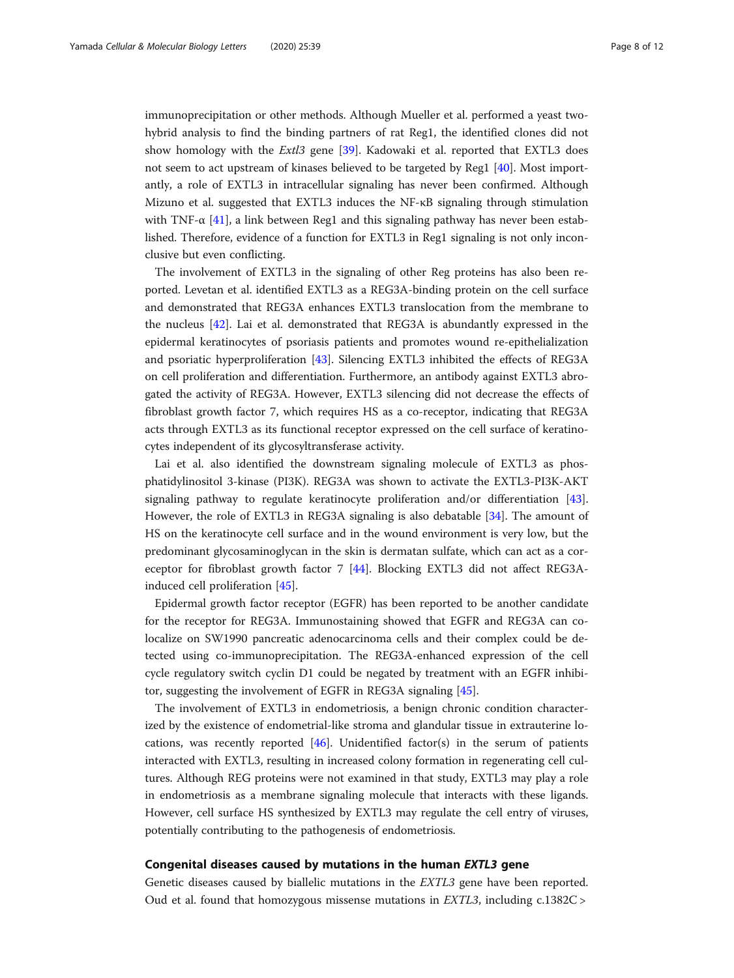immunoprecipitation or other methods. Although Mueller et al. performed a yeast twohybrid analysis to find the binding partners of rat Reg1, the identified clones did not show homology with the *Extl3* gene [\[39\]](#page-10-0). Kadowaki et al. reported that EXTL3 does not seem to act upstream of kinases believed to be targeted by Reg1 [[40\]](#page-11-0). Most importantly, a role of EXTL3 in intracellular signaling has never been confirmed. Although Mizuno et al. suggested that EXTL3 induces the NF-κB signaling through stimulation with TNF- $\alpha$  [[41\]](#page-11-0), a link between Reg1 and this signaling pathway has never been established. Therefore, evidence of a function for EXTL3 in Reg1 signaling is not only inconclusive but even conflicting.

The involvement of EXTL3 in the signaling of other Reg proteins has also been reported. Levetan et al. identified EXTL3 as a REG3A-binding protein on the cell surface and demonstrated that REG3A enhances EXTL3 translocation from the membrane to the nucleus [\[42\]](#page-11-0). Lai et al. demonstrated that REG3A is abundantly expressed in the epidermal keratinocytes of psoriasis patients and promotes wound re-epithelialization and psoriatic hyperproliferation [[43\]](#page-11-0). Silencing EXTL3 inhibited the effects of REG3A on cell proliferation and differentiation. Furthermore, an antibody against EXTL3 abrogated the activity of REG3A. However, EXTL3 silencing did not decrease the effects of fibroblast growth factor 7, which requires HS as a co-receptor, indicating that REG3A acts through EXTL3 as its functional receptor expressed on the cell surface of keratinocytes independent of its glycosyltransferase activity.

Lai et al. also identified the downstream signaling molecule of EXTL3 as phosphatidylinositol 3-kinase (PI3K). REG3A was shown to activate the EXTL3-PI3K-AKT signaling pathway to regulate keratinocyte proliferation and/or differentiation [[43](#page-11-0)]. However, the role of EXTL3 in REG3A signaling is also debatable [[34\]](#page-10-0). The amount of HS on the keratinocyte cell surface and in the wound environment is very low, but the predominant glycosaminoglycan in the skin is dermatan sulfate, which can act as a coreceptor for fibroblast growth factor 7 [[44](#page-11-0)]. Blocking EXTL3 did not affect REG3Ainduced cell proliferation [[45\]](#page-11-0).

Epidermal growth factor receptor (EGFR) has been reported to be another candidate for the receptor for REG3A. Immunostaining showed that EGFR and REG3A can colocalize on SW1990 pancreatic adenocarcinoma cells and their complex could be detected using co-immunoprecipitation. The REG3A-enhanced expression of the cell cycle regulatory switch cyclin D1 could be negated by treatment with an EGFR inhibitor, suggesting the involvement of EGFR in REG3A signaling [[45](#page-11-0)].

The involvement of EXTL3 in endometriosis, a benign chronic condition characterized by the existence of endometrial-like stroma and glandular tissue in extrauterine locations, was recently reported [[46\]](#page-11-0). Unidentified factor(s) in the serum of patients interacted with EXTL3, resulting in increased colony formation in regenerating cell cultures. Although REG proteins were not examined in that study, EXTL3 may play a role in endometriosis as a membrane signaling molecule that interacts with these ligands. However, cell surface HS synthesized by EXTL3 may regulate the cell entry of viruses, potentially contributing to the pathogenesis of endometriosis.

# Congenital diseases caused by mutations in the human EXTL3 gene

Genetic diseases caused by biallelic mutations in the EXTL3 gene have been reported. Oud et al. found that homozygous missense mutations in EXTL3, including c.1382C >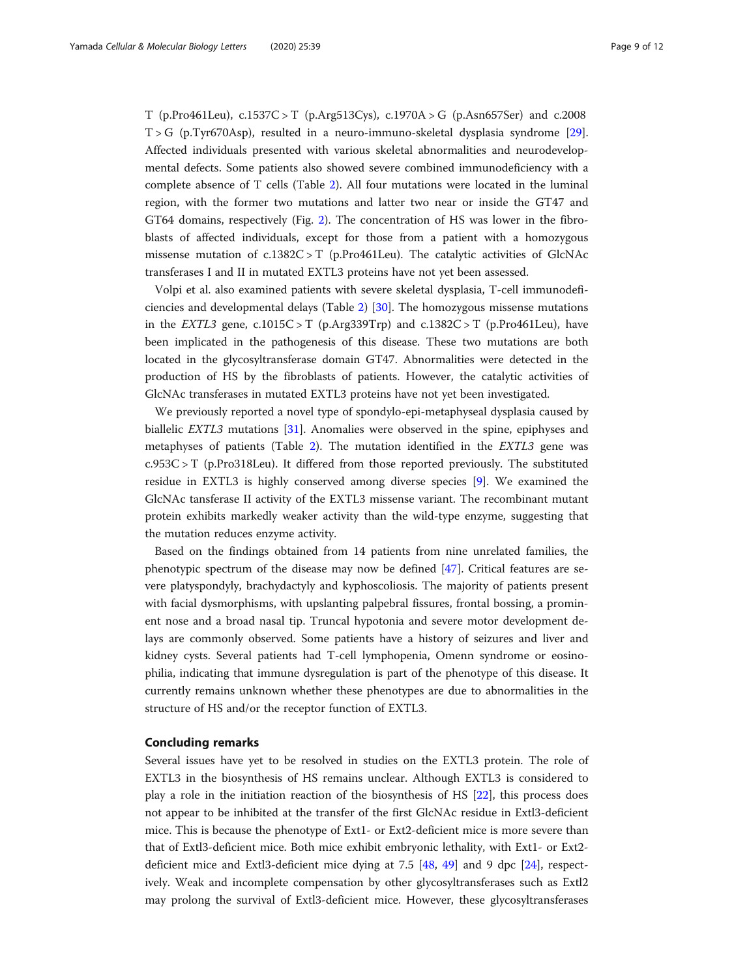T (p.Pro461Leu), c.1537C > T (p.Arg513Cys), c.1970A > G (p.Asn657Ser) and c.2008 T > G (p.Tyr670Asp), resulted in a neuro-immuno-skeletal dysplasia syndrome [[29](#page-10-0)]. Affected individuals presented with various skeletal abnormalities and neurodevelopmental defects. Some patients also showed severe combined immunodeficiency with a complete absence of T cells (Table [2](#page-5-0)). All four mutations were located in the luminal region, with the former two mutations and latter two near or inside the GT47 and GT64 domains, respectively (Fig. [2](#page-4-0)). The concentration of HS was lower in the fibroblasts of affected individuals, except for those from a patient with a homozygous missense mutation of c.1382C > T (p.Pro461Leu). The catalytic activities of GlcNAc transferases I and II in mutated EXTL3 proteins have not yet been assessed.

Volpi et al. also examined patients with severe skeletal dysplasia, T-cell immunodeficiencies and developmental delays (Table [2\)](#page-5-0) [[30\]](#page-10-0). The homozygous missense mutations in the EXTL3 gene,  $c.1015C > T$  (p.Arg339Trp) and  $c.1382C > T$  (p.Pro461Leu), have been implicated in the pathogenesis of this disease. These two mutations are both located in the glycosyltransferase domain GT47. Abnormalities were detected in the production of HS by the fibroblasts of patients. However, the catalytic activities of GlcNAc transferases in mutated EXTL3 proteins have not yet been investigated.

We previously reported a novel type of spondylo-epi-metaphyseal dysplasia caused by biallelic EXTL3 mutations [\[31](#page-10-0)]. Anomalies were observed in the spine, epiphyses and metaphyses of patients (Table [2](#page-5-0)). The mutation identified in the EXTL3 gene was c.953C > T (p.Pro318Leu). It differed from those reported previously. The substituted residue in EXTL3 is highly conserved among diverse species [[9\]](#page-10-0). We examined the GlcNAc tansferase II activity of the EXTL3 missense variant. The recombinant mutant protein exhibits markedly weaker activity than the wild-type enzyme, suggesting that the mutation reduces enzyme activity.

Based on the findings obtained from 14 patients from nine unrelated families, the phenotypic spectrum of the disease may now be defined [\[47](#page-11-0)]. Critical features are severe platyspondyly, brachydactyly and kyphoscoliosis. The majority of patients present with facial dysmorphisms, with upslanting palpebral fissures, frontal bossing, a prominent nose and a broad nasal tip. Truncal hypotonia and severe motor development delays are commonly observed. Some patients have a history of seizures and liver and kidney cysts. Several patients had T-cell lymphopenia, Omenn syndrome or eosinophilia, indicating that immune dysregulation is part of the phenotype of this disease. It currently remains unknown whether these phenotypes are due to abnormalities in the structure of HS and/or the receptor function of EXTL3.

# Concluding remarks

Several issues have yet to be resolved in studies on the EXTL3 protein. The role of EXTL3 in the biosynthesis of HS remains unclear. Although EXTL3 is considered to play a role in the initiation reaction of the biosynthesis of HS [[22\]](#page-10-0), this process does not appear to be inhibited at the transfer of the first GlcNAc residue in Extl3-deficient mice. This is because the phenotype of Ext1- or Ext2-deficient mice is more severe than that of Extl3-deficient mice. Both mice exhibit embryonic lethality, with Ext1- or Ext2 deficient mice and Extl3-deficient mice dying at 7.5 [\[48,](#page-11-0) [49\]](#page-11-0) and 9 dpc [[24\]](#page-10-0), respectively. Weak and incomplete compensation by other glycosyltransferases such as Extl2 may prolong the survival of Extl3-deficient mice. However, these glycosyltransferases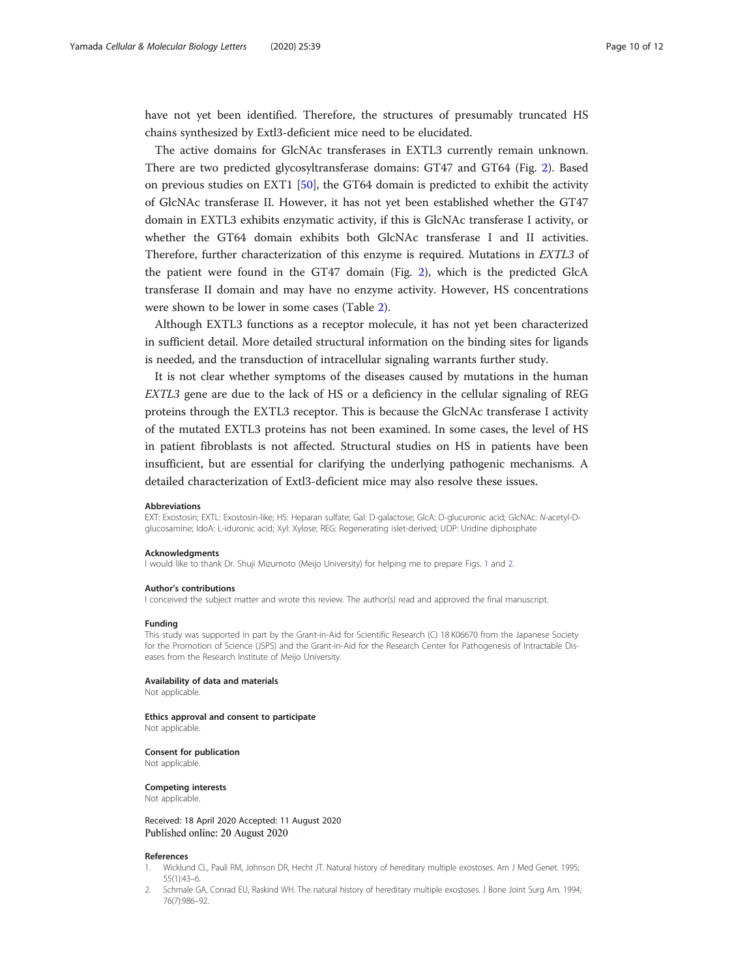<span id="page-9-0"></span>have not yet been identified. Therefore, the structures of presumably truncated HS chains synthesized by Extl3-deficient mice need to be elucidated.

The active domains for GlcNAc transferases in EXTL3 currently remain unknown. There are two predicted glycosyltransferase domains: GT47 and GT64 (Fig. [2\)](#page-4-0). Based on previous studies on EXT1 [\[50\]](#page-11-0), the GT64 domain is predicted to exhibit the activity of GlcNAc transferase II. However, it has not yet been established whether the GT47 domain in EXTL3 exhibits enzymatic activity, if this is GlcNAc transferase I activity, or whether the GT64 domain exhibits both GlcNAc transferase I and II activities. Therefore, further characterization of this enzyme is required. Mutations in EXTL3 of the patient were found in the GT47 domain (Fig. [2\)](#page-4-0), which is the predicted GlcA transferase II domain and may have no enzyme activity. However, HS concentrations were shown to be lower in some cases (Table [2\)](#page-5-0).

Although EXTL3 functions as a receptor molecule, it has not yet been characterized in sufficient detail. More detailed structural information on the binding sites for ligands is needed, and the transduction of intracellular signaling warrants further study.

It is not clear whether symptoms of the diseases caused by mutations in the human EXTL3 gene are due to the lack of HS or a deficiency in the cellular signaling of REG proteins through the EXTL3 receptor. This is because the GlcNAc transferase I activity of the mutated EXTL3 proteins has not been examined. In some cases, the level of HS in patient fibroblasts is not affected. Structural studies on HS in patients have been insufficient, but are essential for clarifying the underlying pathogenic mechanisms. A detailed characterization of Extl3-deficient mice may also resolve these issues.

#### Abbreviations

EXT: Exostosin; EXTL: Exostosin-like; HS: Heparan sulfate; Gal: D-galactose; GlcA: D-glucuronic acid; GlcNAc: N-acetyl-Dglucosamine; IdoA: L-iduronic acid; Xyl: Xylose; REG: Regenerating islet-derived; UDP: Uridine diphosphate

#### Acknowledgments

I would like to thank Dr. Shuji Mizumoto (Meijo University) for helping me to prepare Figs. [1](#page-2-0) and [2](#page-4-0).

#### Author's contributions

I conceived the subject matter and wrote this review. The author(s) read and approved the final manuscript.

#### Funding

This study was supported in part by the Grant-in-Aid for Scientific Research (C) 18 K06670 from the Japanese Society for the Promotion of Science (JSPS) and the Grant-in-Aid for the Research Center for Pathogenesis of Intractable Diseases from the Research Institute of Meijo University.

#### Availability of data and materials

Not applicable.

#### Ethics approval and consent to participate

Not applicable.

### Consent for publication

Not applicable.

#### Competing interests

Not applicable.

Received: 18 April 2020 Accepted: 11 August 2020 Published online: 20 August 2020

#### References

- 1. Wicklund CL, Pauli RM, Johnson DR, Hecht JT. Natural history of hereditary multiple exostoses. Am J Med Genet. 1995; 55(1):43–6.
- 2. Schmale GA, Conrad EU, Raskind WH. The natural history of hereditary multiple exostoses. J Bone Joint Surg Am. 1994; 76(7):986–92.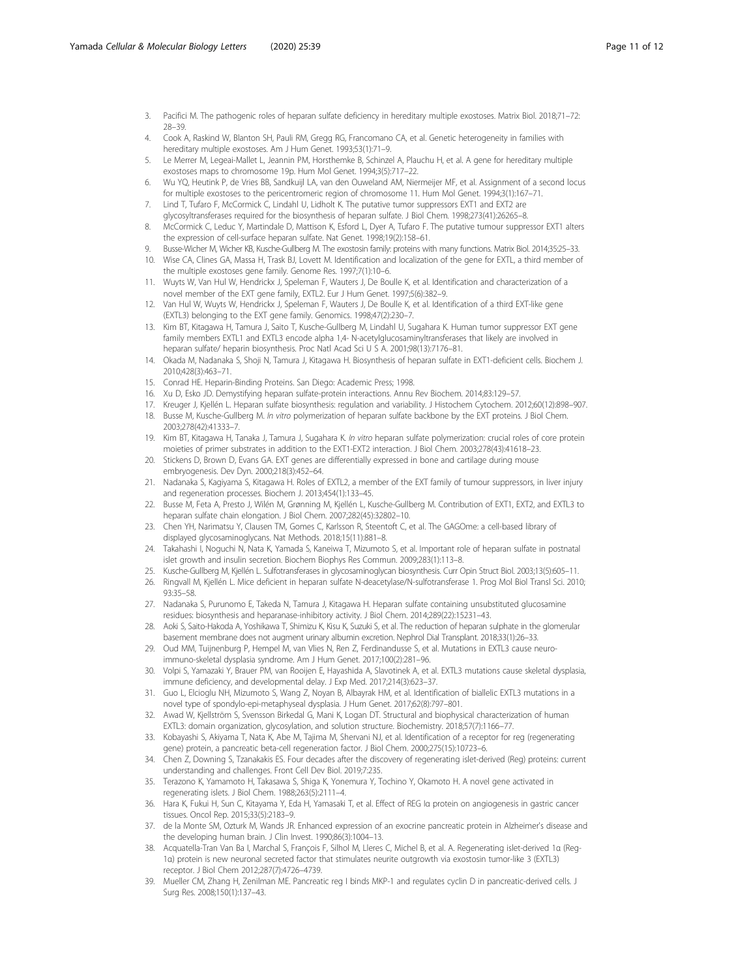- <span id="page-10-0"></span>3. Pacifici M. The pathogenic roles of heparan sulfate deficiency in hereditary multiple exostoses. Matrix Biol. 2018;71–72: 28–39.
- 4. Cook A, Raskind W, Blanton SH, Pauli RM, Gregg RG, Francomano CA, et al. Genetic heterogeneity in families with hereditary multiple exostoses. Am J Hum Genet. 1993;53(1):71–9.
- 5. Le Merrer M, Legeai-Mallet L, Jeannin PM, Horsthemke B, Schinzel A, Plauchu H, et al. A gene for hereditary multiple exostoses maps to chromosome 19p. Hum Mol Genet. 1994;3(5):717–22.
- 6. Wu YQ, Heutink P, de Vries BB, Sandkuijl LA, van den Ouweland AM, Niermeijer MF, et al. Assignment of a second locus for multiple exostoses to the pericentromeric region of chromosome 11. Hum Mol Genet. 1994;3(1):167–71.
- 7. Lind T, Tufaro F, McCormick C, Lindahl U, Lidholt K. The putative tumor suppressors EXT1 and EXT2 are glycosyltransferases required for the biosynthesis of heparan sulfate. J Biol Chem. 1998;273(41):26265–8.
- 8. McCormick C, Leduc Y, Martindale D, Mattison K, Esford L, Dyer A, Tufaro F. The putative tumour suppressor EXT1 alters the expression of cell-surface heparan sulfate. Nat Genet. 1998;19(2):158–61.
- 9. Busse-Wicher M, Wicher KB, Kusche-Gullberg M. The exostosin family: proteins with many functions. Matrix Biol. 2014;35:25–33.
- 10. Wise CA, Clines GA, Massa H, Trask BJ, Lovett M. Identification and localization of the gene for EXTL, a third member of the multiple exostoses gene family. Genome Res. 1997;7(1):10–6.
- 11. Wuyts W, Van Hul W, Hendrickx J, Speleman F, Wauters J, De Boulle K, et al. Identification and characterization of a novel member of the EXT gene family, EXTL2. Eur J Hum Genet. 1997;5(6):382–9.
- 12. Van Hul W, Wuyts W, Hendrickx J, Speleman F, Wauters J, De Boulle K, et al. Identification of a third EXT-like gene (EXTL3) belonging to the EXT gene family. Genomics. 1998;47(2):230–7.
- 13. Kim BT, Kitagawa H, Tamura J, Saito T, Kusche-Gullberg M, Lindahl U, Sugahara K. Human tumor suppressor EXT gene family members EXTL1 and EXTL3 encode alpha 1,4- N-acetylglucosaminyltransferases that likely are involved in heparan sulfate/ heparin biosynthesis. Proc Natl Acad Sci U S A. 2001;98(13):7176–81.
- 14. Okada M, Nadanaka S, Shoji N, Tamura J, Kitagawa H. Biosynthesis of heparan sulfate in EXT1-deficient cells. Biochem J. 2010;428(3):463–71.
- 15. Conrad HE. Heparin-Binding Proteins. San Diego: Academic Press; 1998.
- 16. Xu D, Esko JD. Demystifying heparan sulfate-protein interactions. Annu Rev Biochem. 2014;83:129–57.
- 17. Kreuger J, Kjellén L. Heparan sulfate biosynthesis: regulation and variability. J Histochem Cytochem. 2012;60(12):898–907. 18. Busse M, Kusche-Gullberg M. In vitro polymerization of heparan sulfate backbone by the EXT proteins. J Biol Chem.
- 2003;278(42):41333–7.
- 19. Kim BT, Kitagawa H, Tanaka J, Tamura J, Sugahara K. In vitro heparan sulfate polymerization: crucial roles of core protein moieties of primer substrates in addition to the EXT1-EXT2 interaction. J Biol Chem. 2003;278(43):41618–23.
- 20. Stickens D, Brown D, Evans GA. EXT genes are differentially expressed in bone and cartilage during mouse embryogenesis. Dev Dyn. 2000;218(3):452–64.
- 21. Nadanaka S, Kagiyama S, Kitagawa H. Roles of EXTL2, a member of the EXT family of tumour suppressors, in liver injury and regeneration processes. Biochem J. 2013;454(1):133–45.
- 22. Busse M, Feta A, Presto J, Wilén M, Grønning M, Kjellén L, Kusche-Gullberg M. Contribution of EXT1, EXT2, and EXTL3 to heparan sulfate chain elongation. J Biol Chem. 2007;282(45):32802–10.
- 23. Chen YH, Narimatsu Y, Clausen TM, Gomes C, Karlsson R, Steentoft C, et al. The GAGOme: a cell-based library of displayed glycosaminoglycans. Nat Methods. 2018;15(11):881–8.
- 24. Takahashi I, Noguchi N, Nata K, Yamada S, Kaneiwa T, Mizumoto S, et al. Important role of heparan sulfate in postnatal islet growth and insulin secretion. Biochem Biophys Res Commun. 2009;283(1):113–8.
- 25. Kusche-Gullberg M, Kjellén L. Sulfotransferases in glycosaminoglycan biosynthesis. Curr Opin Struct Biol. 2003;13(5):605–11.
- 26. Ringvall M, Kjellén L. Mice deficient in heparan sulfate N-deacetylase/N-sulfotransferase 1. Prog Mol Biol Transl Sci. 2010; 93:35–58.
- 27. Nadanaka S, Purunomo E, Takeda N, Tamura J, Kitagawa H. Heparan sulfate containing unsubstituted glucosamine residues: biosynthesis and heparanase-inhibitory activity. J Biol Chem. 2014;289(22):15231–43.
- 28. Aoki S, Saito-Hakoda A, Yoshikawa T, Shimizu K, Kisu K, Suzuki S, et al. The reduction of heparan sulphate in the glomerular basement membrane does not augment urinary albumin excretion. Nephrol Dial Transplant. 2018;33(1):26–33.
- 29. Oud MM, Tuijnenburg P, Hempel M, van Vlies N, Ren Z, Ferdinandusse S, et al. Mutations in EXTL3 cause neuroimmuno-skeletal dysplasia syndrome. Am J Hum Genet. 2017;100(2):281–96.
- 30. Volpi S, Yamazaki Y, Brauer PM, van Rooijen E, Hayashida A, Slavotinek A, et al. EXTL3 mutations cause skeletal dysplasia, immune deficiency, and developmental delay. J Exp Med. 2017;214(3):623–37.
- 31. Guo L, Elcioglu NH, Mizumoto S, Wang Z, Noyan B, Albayrak HM, et al. Identification of biallelic EXTL3 mutations in a novel type of spondylo-epi-metaphyseal dysplasia. J Hum Genet. 2017;62(8):797–801.
- 32. Awad W, Kjellström S, Svensson Birkedal G, Mani K, Logan DT. Structural and biophysical characterization of human EXTL3: domain organization, glycosylation, and solution structure. Biochemistry. 2018;57(7):1166–77.
- 33. Kobayashi S, Akiyama T, Nata K, Abe M, Tajima M, Shervani NJ, et al. Identification of a receptor for reg (regenerating gene) protein, a pancreatic beta-cell regeneration factor. J Biol Chem. 2000;275(15):10723–6.
- 34. Chen Z, Downing S, Tzanakakis ES. Four decades after the discovery of regenerating islet-derived (Reg) proteins: current understanding and challenges. Front Cell Dev Biol. 2019;7:235.
- 35. Terazono K, Yamamoto H, Takasawa S, Shiga K, Yonemura Y, Tochino Y, Okamoto H. A novel gene activated in regenerating islets. J Biol Chem. 1988;263(5):2111–4.
- 36. Hara K, Fukui H, Sun C, Kitayama Y, Eda H, Yamasaki T, et al. Effect of REG Iα protein on angiogenesis in gastric cancer tissues. Oncol Rep. 2015;33(5):2183–9.
- 37. de la Monte SM, Ozturk M, Wands JR. Enhanced expression of an exocrine pancreatic protein in Alzheimer's disease and the developing human brain. J Clin Invest. 1990;86(3):1004–13.
- 38. Acquatella-Tran Van Ba I, Marchal S, François F, Silhol M, Lleres C, Michel B, et al. A. Regenerating islet-derived 1α (Reg-1α) protein is new neuronal secreted factor that stimulates neurite outgrowth via exostosin tumor-like 3 (EXTL3) receptor. J Biol Chem 2012;287(7):4726–4739.
- 39. Mueller CM, Zhang H, Zenilman ME. Pancreatic reg I binds MKP-1 and regulates cyclin D in pancreatic-derived cells. J Surg Res. 2008;150(1):137–43.